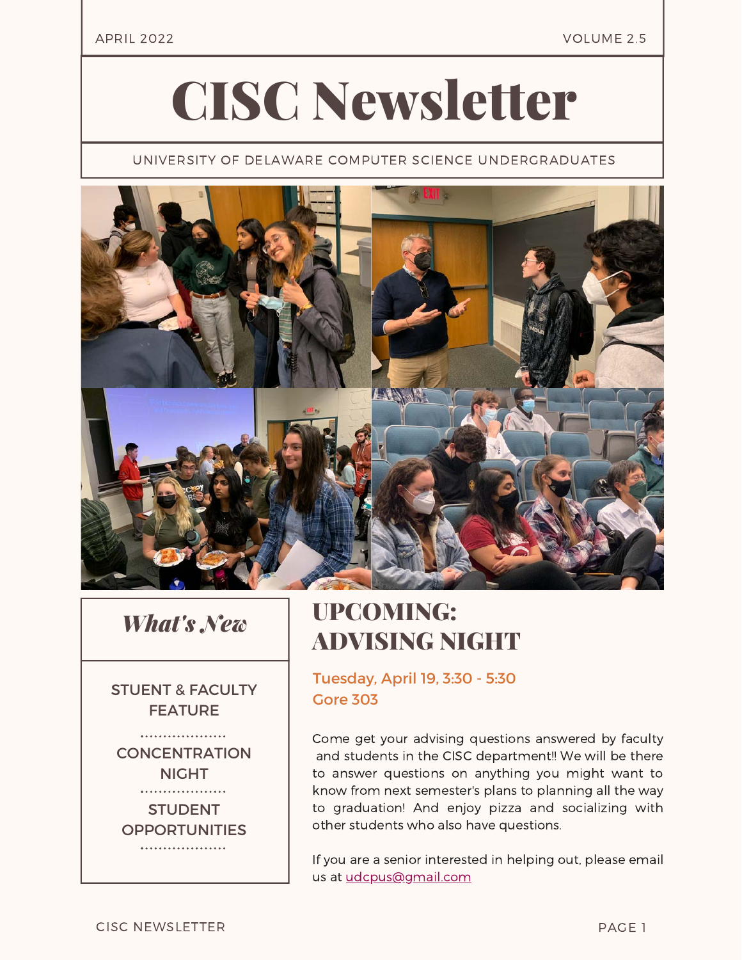#### APRIL 2022 VOLUME 2.5

# CISC Newsletter

UNIVERSITY OF DELAWARE COMPUTER SCIENCE UNDERGRADUATES



#### *What's New*

STUENT & FACULTY FEATURE

. . . . . . . . . . . . . . . . . . . . **CONCENTRATION** NIGHT . . . . . . . . . . . . . . . . . . .

**STUDENT OPPORTUNITIES** . . . . . . . . . . . . . . . . . . .

### UPCOMING: ADVISING NIGHT

Tuesday, April 19, 3:30 - 5:30 Gore 303

Come get your advising questions answered by faculty and students in the CISC department!! We will be there to answer questions on anything you might want to know from next semester's plans to planning all the way to graduation! And enjoy pizza and socializing with other students who also have questions.

If you are a senior interested in helping out, please email us at [udcpus@gmail.com](mailto:udcpus@gmail.com)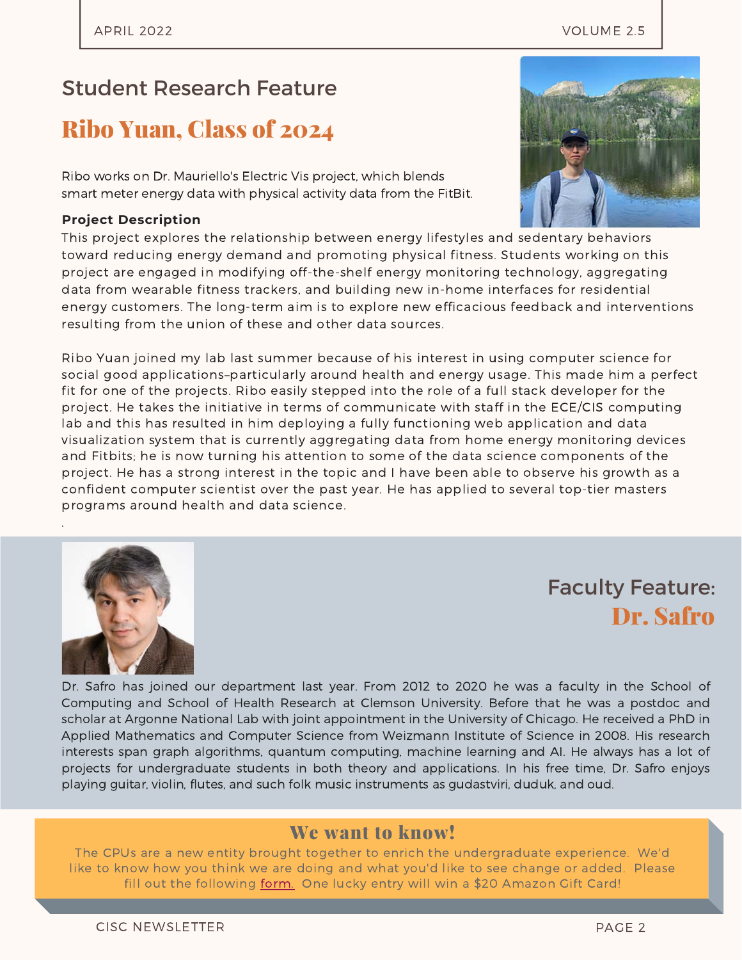#### Student Research Feature

#### Ribo Yuan, Class of 2024

Ribo works on Dr. Mauriello's Electric Vis project, which blends smart meter energy data with physical activity data from the FitBit.

#### **Project Description**

This project explores the relationship between energy lifestyles and sedentary behaviors toward reducing energy demand and promoting physical fitness. Students working on this project are engaged in modifying off-the-shelf energy monitoring technology, aggregating data from wearable fitness trackers, and building new in-home interfaces for residential energy customers. The long-term aim is to explore new efficacious feedback and interventions resulting from the union of these and other data sources.

Ribo Yuan joined my lab last summer because of his interest in using computer science for social good applications–particularly around health and energy usage. This made him a perfect fit for one of the projects. Ribo easily stepped into the role of a full stack developer for the project. He takes the initiative in terms of communicate with staff in the ECE/CIS computing lab and this has resulted in him deploying a fully functioning web application and data visualization system that is currently aggregating data from home energy monitoring devices and Fitbits; he is now turning his attention to some of the data science components of the project. He has a strong interest in the topic and I have been able to observe his growth as a confident computer scientist over the past year. He has applied to several top-tier masters programs around health and data science.

## Faculty Feature: Dr. Safro

Dr. Safro has joined our department last year. From 2012 to 2020 he was a faculty in the School of Computing and School of Health Research at Clemson University. Before that he was a postdoc and scholar at Argonne National Lab with joint appointment in the University of Chicago. He received a PhD in Applied Mathematics and Computer Science from Weizmann Institute of Science in 2008. His research interests span graph algorithms, quantum computing, machine learning and AI. He always has a lot of projects for undergraduate students in both theory and applications. In his free time, Dr. Safro enjoys playing guitar, violin, flutes, and such folk music instruments as gudastviri, duduk, and oud.

#### We want to know!

The CPUs are a new entity brought together to enrich the undergraduate experience. We'd like to know how you think we are doing and what you'd like to see change or added. Please fill out the following [form.](https://docs.google.com/forms/d/e/1FAIpQLSeoK975xtEVlyavz5fd9Z58iq67Zop-SOMXMPNWVrF_Jeooyg/viewform?usp=sf_link) One lucky entry will win a \$20 Amazon Gift Card!



.

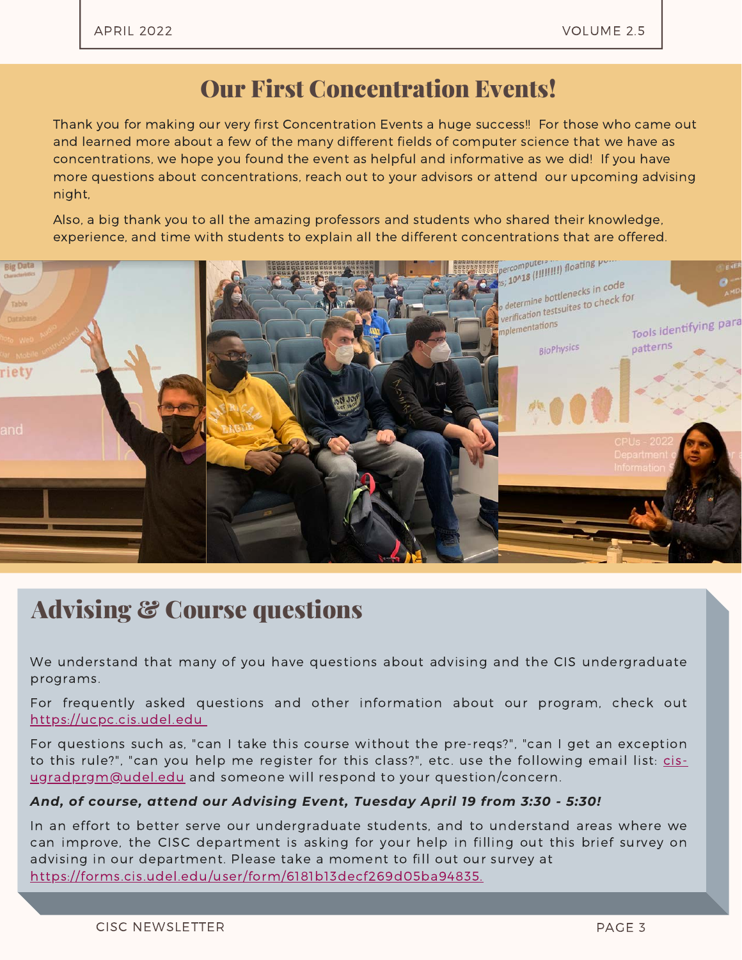#### Our First Concentration Events!

Thank you for making our very first Concentration Events a huge success!! For those who came out and learned more about a few of the many different fields of computer science that we have as concentrations, we hope you found the event as helpful and informative as we did! If you have more questions about concentrations, reach out to your advisors or attend our upcoming advising night,

Also, a big thank you to all the amazing professors and students who shared their knowledge, experience, and time with students to explain all the different concentrations that are offered.



### Advising & Course questions

We understand that many of you have questions about advising and the CIS undergraduate programs.

For frequently asked questions and other information about our program, check out [https://ucpc.cis.udel.edu](https://forms.gle/8bLJ6VT7DU2Dnko46)

For questions such as, "can I take this course without the pre-reqs?", "can I get an exception to this rule?", "can you help me register for this class?", etc. use the following email list: cis[ugradprgm@udel.edu](mailto:cis-ugradprgm@udel.edu) and someone will respond to your question/concern.

#### *And, of course, attend our Advising Event, Tuesday April 19 from 3:30 - 5:30!*

In an effort to better serve our undergraduate students, and to understand areas where we can improve, the CISC department is asking for your help in filling out this brief survey on advising in our department. Please take a moment to fill out our survey at <https://forms.cis.udel.edu/user/form/6181b13decf269d05ba94835.>